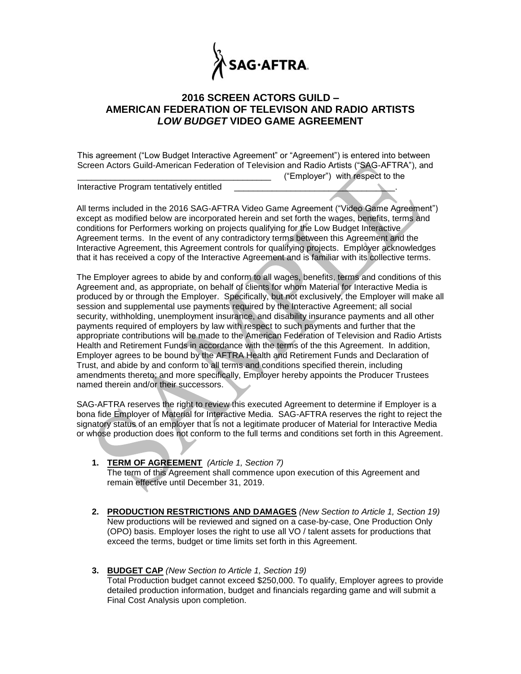

## **2016 SCREEN ACTORS GUILD – AMERICAN FEDERATION OF TELEVISON AND RADIO ARTISTS** *LOW BUDGET* **VIDEO GAME AGREEMENT**

This agreement ("Low Budget Interactive Agreement" or "Agreement") is entered into between Screen Actors Guild-American Federation of Television and Radio Artists ("SAG-AFTRA"), and \_\_\_\_\_\_\_\_\_\_\_\_\_\_\_\_\_\_\_\_\_\_\_\_\_\_\_\_\_\_\_\_\_\_\_\_\_\_\_\_\_ ("Employer") with respect to the

Interactive Program tentatively entitled

All terms included in the 2016 SAG-AFTRA Video Game Agreement ("Video Game Agreement") except as modified below are incorporated herein and set forth the wages, benefits, terms and conditions for Performers working on projects qualifying for the Low Budget Interactive Agreement terms. In the event of any contradictory terms between this Agreement and the Interactive Agreement, this Agreement controls for qualifying projects. Employer acknowledges that it has received a copy of the Interactive Agreement and is familiar with its collective terms.

The Employer agrees to abide by and conform to all wages, benefits, terms and conditions of this Agreement and, as appropriate, on behalf of clients for whom Material for Interactive Media is produced by or through the Employer. Specifically, but not exclusively, the Employer will make all session and supplemental use payments required by the Interactive Agreement; all social security, withholding, unemployment insurance, and disability insurance payments and all other payments required of employers by law with respect to such payments and further that the appropriate contributions will be made to the American Federation of Television and Radio Artists Health and Retirement Funds in accordance with the terms of the this Agreement. In addition, Employer agrees to be bound by the AFTRA Health and Retirement Funds and Declaration of Trust, and abide by and conform to all terms and conditions specified therein, including amendments thereto; and more specifically, Employer hereby appoints the Producer Trustees named therein and/or their successors.

SAG-AFTRA reserves the right to review this executed Agreement to determine if Employer is a bona fide Employer of Material for Interactive Media. SAG-AFTRA reserves the right to reject the signatory status of an employer that is not a legitimate producer of Material for Interactive Media or whose production does not conform to the full terms and conditions set forth in this Agreement.

- **1. TERM OF AGREEMENT** *(Article 1, Section 7)* The term of this Agreement shall commence upon execution of this Agreement and remain effective until December 31, 2019.
- **2. PRODUCTION RESTRICTIONS AND DAMAGES** *(New Section to Article 1, Section 19)* New productions will be reviewed and signed on a case-by-case, One Production Only (OPO) basis. Employer loses the right to use all VO / talent assets for productions that exceed the terms, budget or time limits set forth in this Agreement.
- **3. BUDGET CAP** *(New Section to Article 1, Section 19)* Total Production budget cannot exceed \$250,000. To qualify, Employer agrees to provide detailed production information, budget and financials regarding game and will submit a Final Cost Analysis upon completion.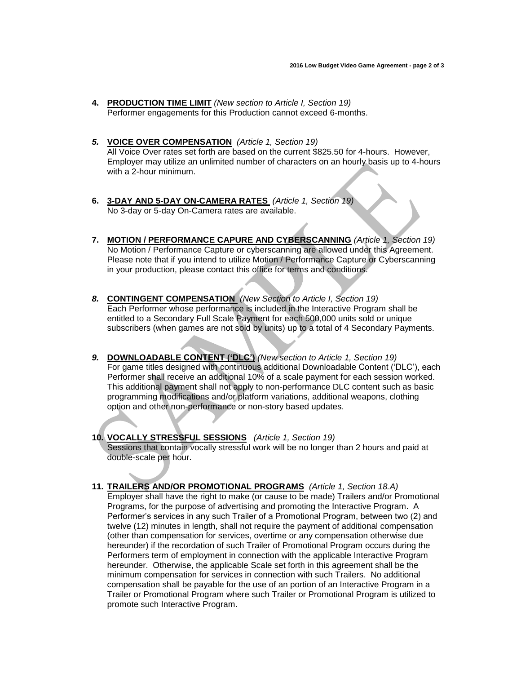- **4. PRODUCTION TIME LIMIT** *(New section to Article I, Section 19)* Performer engagements for this Production cannot exceed 6-months.
- *5.* **VOICE OVER COMPENSATION** *(Article 1, Section 19)* All Voice Over rates set forth are based on the current \$825.50 for 4-hours. However, Employer may utilize an unlimited number of characters on an hourly basis up to 4-hours with a 2-hour minimum.
- **6. 3-DAY AND 5-DAY ON-CAMERA RATES** *(Article 1, Section 19)* No 3-day or 5-day On-Camera rates are available.
- **7. MOTION / PERFORMANCE CAPURE AND CYBERSCANNING** *(Article 1, Section 19)* No Motion / Performance Capture or cyberscanning are allowed under this Agreement. Please note that if you intend to utilize Motion / Performance Capture or Cyberscanning in your production, please contact this office for terms and conditions.
- *8.* **CONTINGENT COMPENSATION** *(New Section to Article I, Section 19)* Each Performer whose performance is included in the Interactive Program shall be entitled to a Secondary Full Scale Payment for each 500,000 units sold or unique subscribers (when games are not sold by units) up to a total of 4 Secondary Payments.
- *9.* **DOWNLOADABLE CONTENT ('DLC')** *(New section to Article 1, Section 19)* For game titles designed with continuous additional Downloadable Content ('DLC'), each Performer shall receive an additional 10% of a scale payment for each session worked. This additional payment shall not apply to non-performance DLC content such as basic programming modifications and/or platform variations, additional weapons, clothing option and other non-performance or non-story based updates.
- **10. VOCALLY STRESSFUL SESSIONS** *(Article 1, Section 19)* Sessions that contain vocally stressful work will be no longer than 2 hours and paid at double-scale per hour.
- **11. TRAILERS AND/OR PROMOTIONAL PROGRAMS** *(Article 1, Section 18.A)* Employer shall have the right to make (or cause to be made) Trailers and/or Promotional Programs, for the purpose of advertising and promoting the Interactive Program. A Performer's services in any such Trailer of a Promotional Program, between two (2) and twelve (12) minutes in length, shall not require the payment of additional compensation (other than compensation for services, overtime or any compensation otherwise due hereunder) if the recordation of such Trailer of Promotional Program occurs during the Performers term of employment in connection with the applicable Interactive Program hereunder. Otherwise, the applicable Scale set forth in this agreement shall be the minimum compensation for services in connection with such Trailers. No additional compensation shall be payable for the use of an portion of an Interactive Program in a Trailer or Promotional Program where such Trailer or Promotional Program is utilized to promote such Interactive Program.